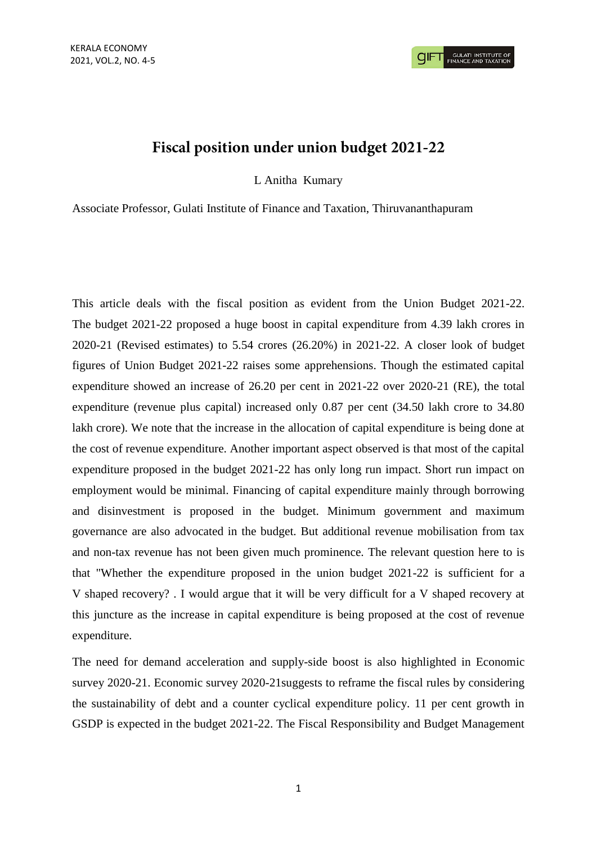## Fiscal position under union budget 2021-22

L Anitha Kumary

Associate Professor, Gulati Institute of Finance and Taxation, Thiruvananthapuram

This article deals with the fiscal position as evident from the Union Budget 2021-22. The budget 2021-22 proposed a huge boost in capital expenditure from 4.39 lakh crores in 2020-21 (Revised estimates) to 5.54 crores (26.20%) in 2021-22. A closer look of budget figures of Union Budget 2021-22 raises some apprehensions. Though the estimated capital expenditure showed an increase of 26.20 per cent in 2021-22 over 2020-21 (RE), the total expenditure (revenue plus capital) increased only 0.87 per cent (34.50 lakh crore to 34.80 lakh crore). We note that the increase in the allocation of capital expenditure is being done at the cost of revenue expenditure. Another important aspect observed is that most of the capital expenditure proposed in the budget 2021-22 has only long run impact. Short run impact on employment would be minimal. Financing of capital expenditure mainly through borrowing and disinvestment is proposed in the budget. Minimum government and maximum governance are also advocated in the budget. But additional revenue mobilisation from tax and non-tax revenue has not been given much prominence. The relevant question here to is that "Whether the expenditure proposed in the union budget 2021-22 is sufficient for a V shaped recovery? . I would argue that it will be very difficult for a V shaped recovery at this juncture as the increase in capital expenditure is being proposed at the cost of revenue expenditure.

The need for demand acceleration and supply-side boost is also highlighted in Economic survey 2020-21. Economic survey 2020-21suggests to reframe the fiscal rules by considering the sustainability of debt and a counter cyclical expenditure policy. 11 per cent growth in GSDP is expected in the budget 2021-22. The Fiscal Responsibility and Budget Management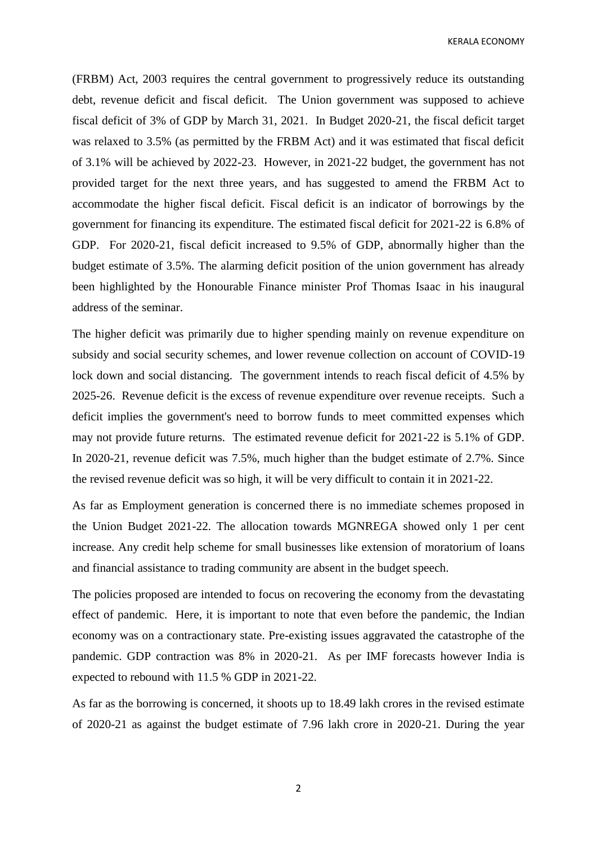KERALA ECONOMY

(FRBM) Act, 2003 requires the central government to progressively reduce its outstanding debt, revenue deficit and fiscal deficit. The Union government was supposed to achieve fiscal deficit of 3% of GDP by March 31, 2021. In Budget 2020-21, the fiscal deficit target was relaxed to 3.5% (as permitted by the FRBM Act) and it was estimated that fiscal deficit of 3.1% will be achieved by 2022-23. However, in 2021-22 budget, the government has not provided target for the next three years, and has suggested to amend the FRBM Act to accommodate the higher fiscal deficit. Fiscal deficit is an indicator of borrowings by the government for financing its expenditure. The estimated fiscal deficit for 2021-22 is 6.8% of GDP. For 2020-21, fiscal deficit increased to 9.5% of GDP, abnormally higher than the budget estimate of 3.5%. The alarming deficit position of the union government has already been highlighted by the Honourable Finance minister Prof Thomas Isaac in his inaugural address of the seminar.

The higher deficit was primarily due to higher spending mainly on revenue expenditure on subsidy and social security schemes, and lower revenue collection on account of COVID-19 lock down and social distancing. The government intends to reach fiscal deficit of 4.5% by 2025-26. Revenue deficit is the excess of revenue expenditure over revenue receipts. Such a deficit implies the government's need to borrow funds to meet committed expenses which may not provide future returns. The estimated revenue deficit for 2021-22 is 5.1% of GDP. In 2020-21, revenue deficit was 7.5%, much higher than the budget estimate of 2.7%. Since the revised revenue deficit was so high, it will be very difficult to contain it in 2021-22.

As far as Employment generation is concerned there is no immediate schemes proposed in the Union Budget 2021-22. The allocation towards MGNREGA showed only 1 per cent increase. Any credit help scheme for small businesses like extension of moratorium of loans and financial assistance to trading community are absent in the budget speech.

The policies proposed are intended to focus on recovering the economy from the devastating effect of pandemic. Here, it is important to note that even before the pandemic, the Indian economy was on a contractionary state. Pre-existing issues aggravated the catastrophe of the pandemic. GDP contraction was 8% in 2020-21. As per IMF forecasts however India is expected to rebound with 11.5 % GDP in 2021-22.

As far as the borrowing is concerned, it shoots up to 18.49 lakh crores in the revised estimate of 2020-21 as against the budget estimate of 7.96 lakh crore in 2020-21. During the year

2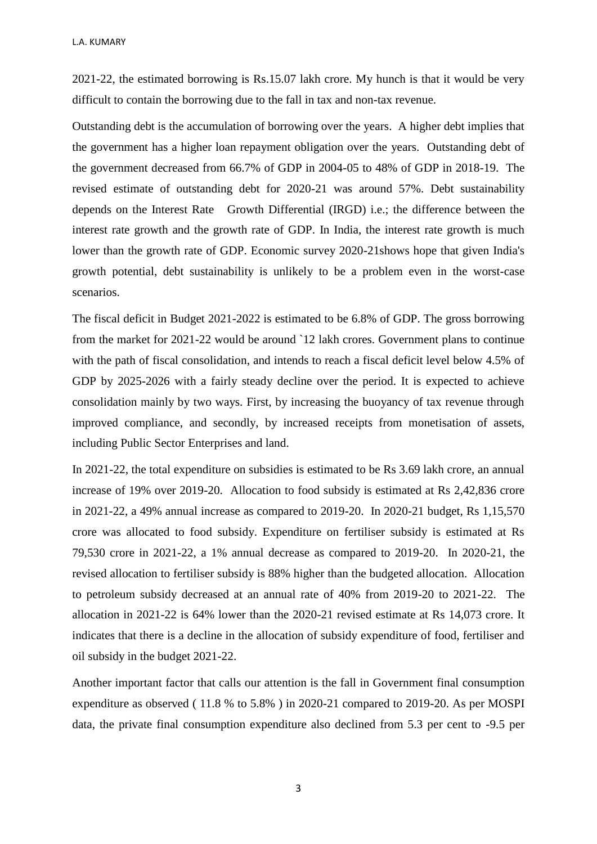2021-22, the estimated borrowing is Rs.15.07 lakh crore. My hunch is that it would be very difficult to contain the borrowing due to the fall in tax and non-tax revenue.

Outstanding debt is the accumulation of borrowing over the years. A higher debt implies that the government has a higher loan repayment obligation over the years. Outstanding debt of the government decreased from 66.7% of GDP in 2004-05 to 48% of GDP in 2018-19. The revised estimate of outstanding debt for 2020-21 was around 57%. Debt sustainability depends on the Interest Rate Growth Differential (IRGD) i.e.; the difference between the interest rate growth and the growth rate of GDP. In India, the interest rate growth is much lower than the growth rate of GDP. Economic survey 2020-21shows hope that given India's growth potential, debt sustainability is unlikely to be a problem even in the worst-case scenarios.

The fiscal deficit in Budget 2021-2022 is estimated to be 6.8% of GDP. The gross borrowing from the market for 2021-22 would be around `12 lakh crores. Government plans to continue with the path of fiscal consolidation, and intends to reach a fiscal deficit level below 4.5% of GDP by 2025-2026 with a fairly steady decline over the period. It is expected to achieve consolidation mainly by two ways. First, by increasing the buoyancy of tax revenue through improved compliance, and secondly, by increased receipts from monetisation of assets, including Public Sector Enterprises and land.

In 2021-22, the total expenditure on subsidies is estimated to be Rs 3.69 lakh crore, an annual increase of 19% over 2019-20. Allocation to food subsidy is estimated at Rs 2,42,836 crore in 2021-22, a 49% annual increase as compared to 2019-20. In 2020-21 budget, Rs 1,15,570 crore was allocated to food subsidy. Expenditure on fertiliser subsidy is estimated at Rs 79,530 crore in 2021-22, a 1% annual decrease as compared to 2019-20. In 2020-21, the revised allocation to fertiliser subsidy is 88% higher than the budgeted allocation. Allocation to petroleum subsidy decreased at an annual rate of 40% from 2019-20 to 2021-22. The allocation in 2021-22 is 64% lower than the 2020-21 revised estimate at Rs 14,073 crore. It indicates that there is a decline in the allocation of subsidy expenditure of food, fertiliser and oil subsidy in the budget 2021-22.

Another important factor that calls our attention is the fall in Government final consumption expenditure as observed ( 11.8 % to 5.8% ) in 2020-21 compared to 2019-20. As per MOSPI data, the private final consumption expenditure also declined from 5.3 per cent to -9.5 per